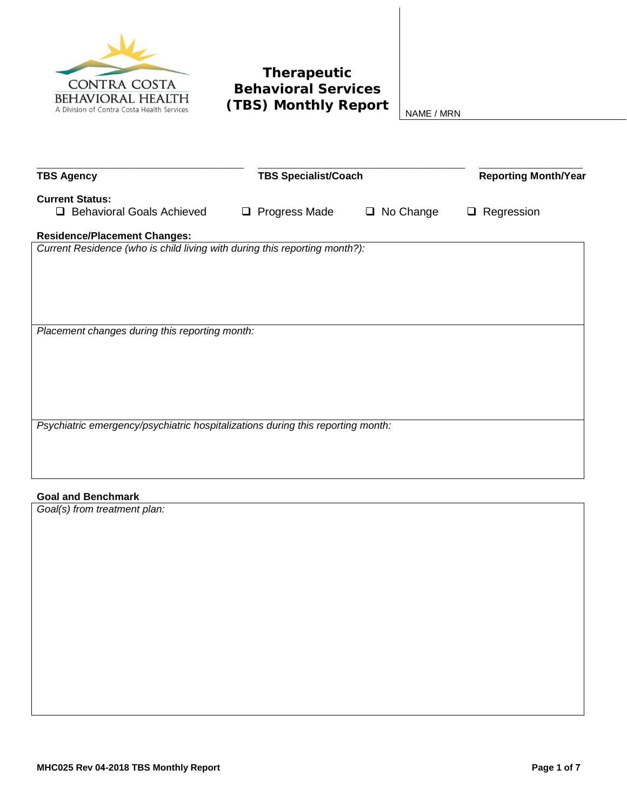

# **Therapeutic Behavioral Services (TBS) Monthly Report**  $\Big|_{NAME / MRN}$

| <b>TBS Agency</b>                                                               | <b>TBS Specialist/Coach</b> |                | <b>Reporting Month/Year</b> |
|---------------------------------------------------------------------------------|-----------------------------|----------------|-----------------------------|
| <b>Current Status:</b>                                                          |                             |                |                             |
| <b>Behavioral Goals Achieved</b><br>□                                           | $\Box$ Progress Made        | No Change<br>❏ | Regression<br>⊔             |
| <b>Residence/Placement Changes:</b>                                             |                             |                |                             |
| Current Residence (who is child living with during this reporting month?):      |                             |                |                             |
|                                                                                 |                             |                |                             |
|                                                                                 |                             |                |                             |
|                                                                                 |                             |                |                             |
|                                                                                 |                             |                |                             |
| Placement changes during this reporting month:                                  |                             |                |                             |
|                                                                                 |                             |                |                             |
|                                                                                 |                             |                |                             |
|                                                                                 |                             |                |                             |
|                                                                                 |                             |                |                             |
|                                                                                 |                             |                |                             |
| Psychiatric emergency/psychiatric hospitalizations during this reporting month: |                             |                |                             |
|                                                                                 |                             |                |                             |
|                                                                                 |                             |                |                             |

### **Goal and Benchmark**

*Goal(s) from treatment plan:*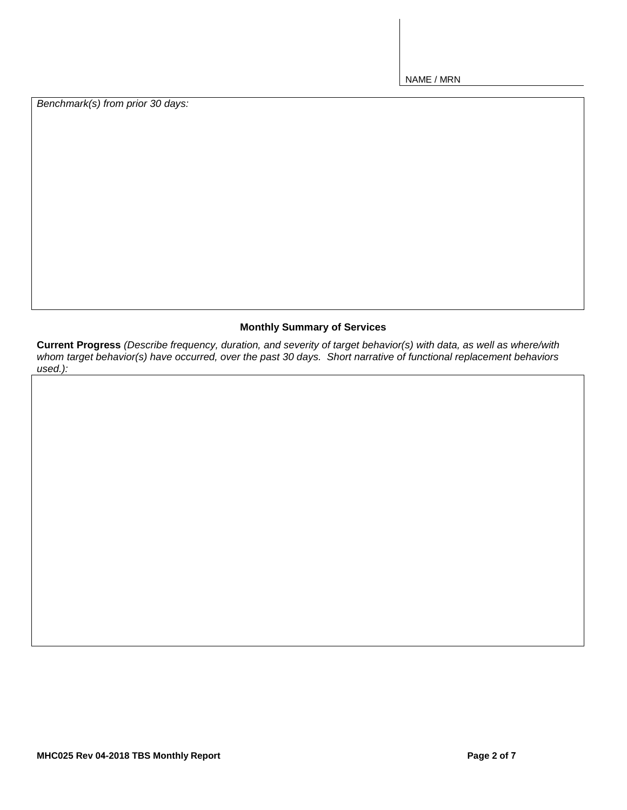*Benchmark(s) from prior 30 days:*

## **Monthly Summary of Services**

**Current Progress** *(Describe frequency, duration, and severity of target behavior(s) with data, as well as where/with whom target behavior(s) have occurred, over the past 30 days. Short narrative of functional replacement behaviors used.):*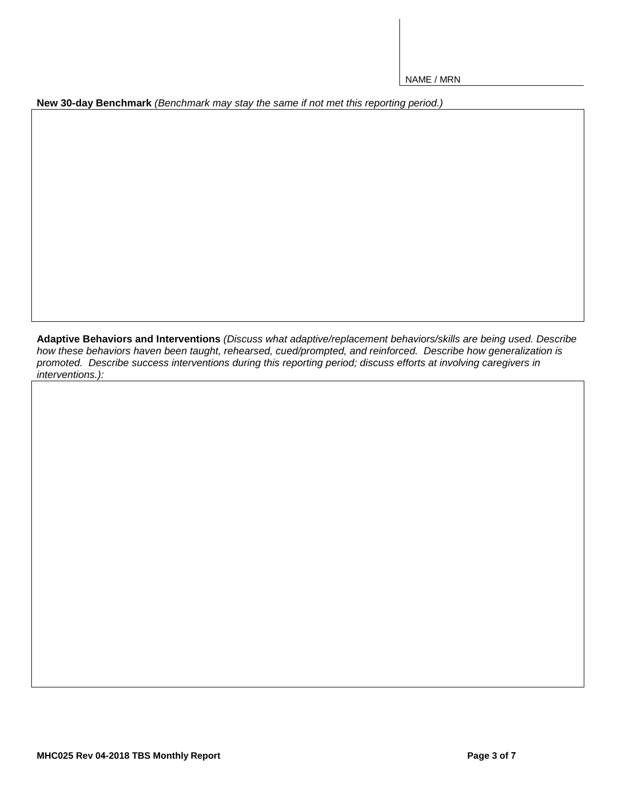**New 30-day Benchmark** *(Benchmark may stay the same if not met this reporting period.)*

**Adaptive Behaviors and Interventions** *(Discuss what adaptive/replacement behaviors/skills are being used. Describe how these behaviors haven been taught, rehearsed, cued/prompted, and reinforced. Describe how generalization is promoted. Describe success interventions during this reporting period; discuss efforts at involving caregivers in interventions.):*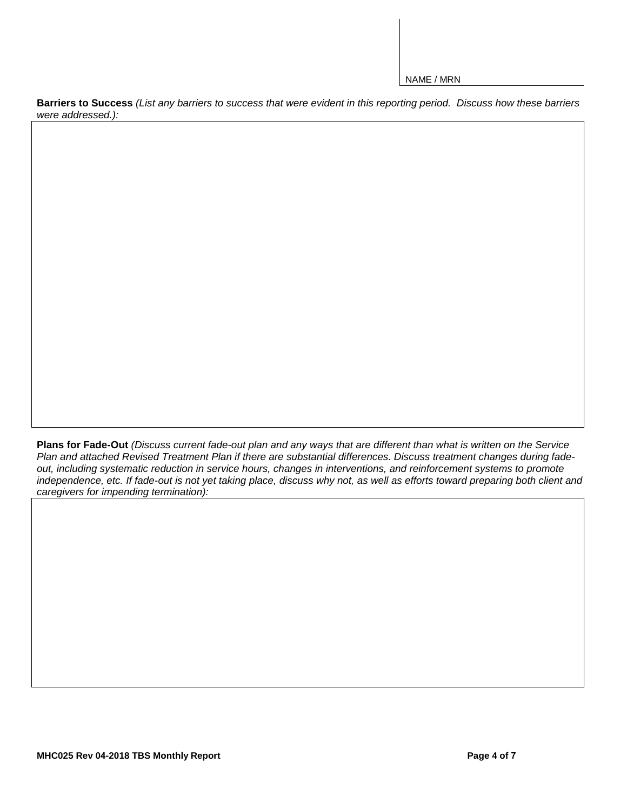**Barriers to Success** *(List any barriers to success that were evident in this reporting period. Discuss how these barriers were addressed.):*

**Plans for Fade-Out** *(Discuss current fade-out plan and any ways that are different than what is written on the Service Plan and attached Revised Treatment Plan if there are substantial differences. Discuss treatment changes during fadeout, including systematic reduction in service hours, changes in interventions, and reinforcement systems to promote independence, etc. If fade-out is not yet taking place, discuss why not, as well as efforts toward preparing both client and caregivers for impending termination):*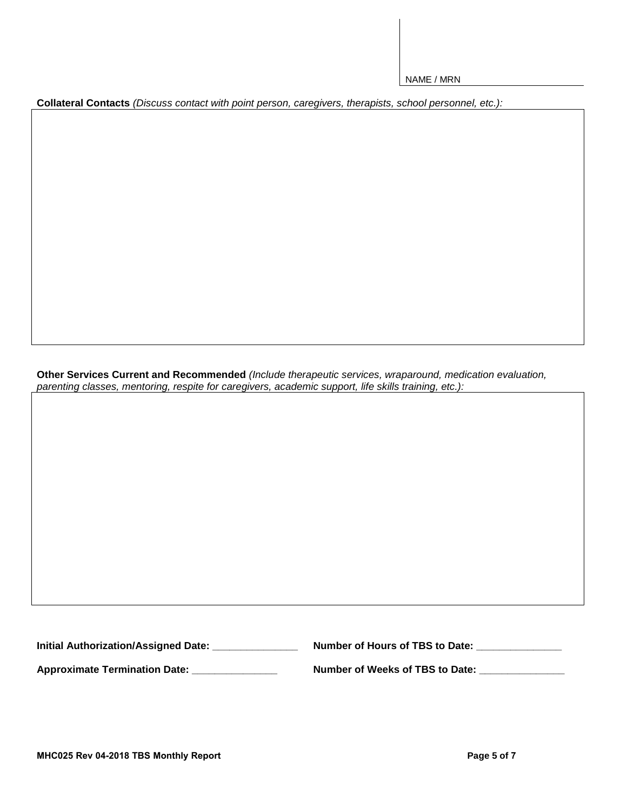**Collateral Contacts** *(Discuss contact with point person, caregivers, therapists, school personnel, etc.):*

**Other Services Current and Recommended** *(Include therapeutic services, wraparound, medication evaluation, parenting classes, mentoring, respite for caregivers, academic support, life skills training, etc.):*

**Initial Authorization/Assigned Date: \_\_\_\_\_\_\_\_\_\_\_\_\_\_\_ Number of Hours of TBS to Date: \_\_\_\_\_\_\_\_\_\_\_\_\_\_\_** 

**Approximate Termination Date: \_\_\_\_\_\_\_\_\_\_\_\_\_\_\_ Number of Weeks of TBS to Date: \_\_\_\_\_\_\_\_\_\_\_\_\_\_\_**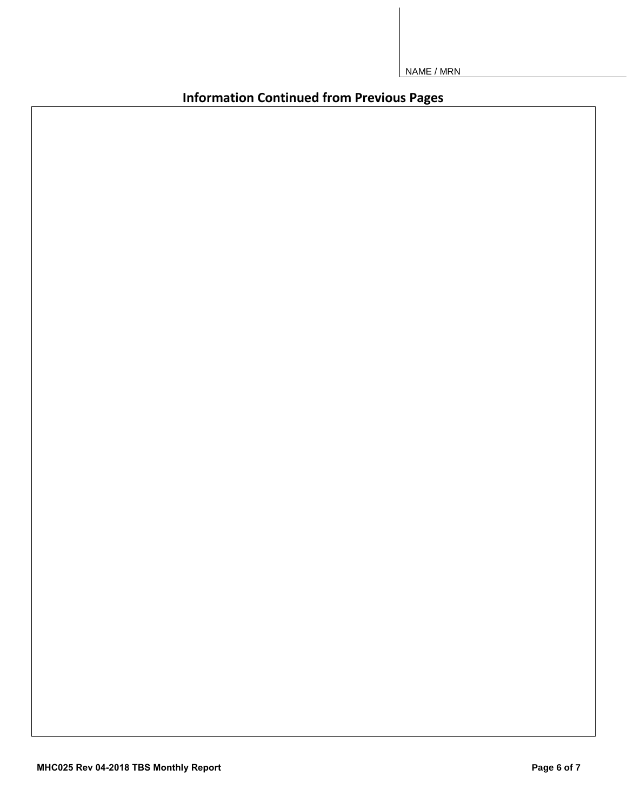**Information Continued from Previous Pages**